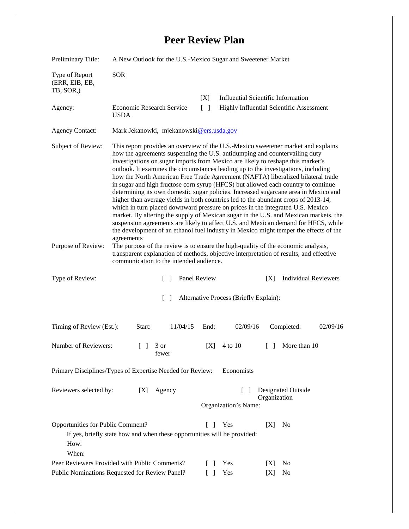## **Peer Review Plan**

| Preliminary Title:                                 | A New Outlook for the U.S.-Mexico Sugar and Sweetener Market                                                                                                                                                                                                                                                                                                                                                                                                                                                                                                                                                                                                                                                                                                                                                                                                                                                                                                                                                                                                         |                      |                                                 |
|----------------------------------------------------|----------------------------------------------------------------------------------------------------------------------------------------------------------------------------------------------------------------------------------------------------------------------------------------------------------------------------------------------------------------------------------------------------------------------------------------------------------------------------------------------------------------------------------------------------------------------------------------------------------------------------------------------------------------------------------------------------------------------------------------------------------------------------------------------------------------------------------------------------------------------------------------------------------------------------------------------------------------------------------------------------------------------------------------------------------------------|----------------------|-------------------------------------------------|
| Type of Report<br>(ERR, EIB, EB,<br>TB, SOR,)      | <b>SOR</b>                                                                                                                                                                                                                                                                                                                                                                                                                                                                                                                                                                                                                                                                                                                                                                                                                                                                                                                                                                                                                                                           |                      |                                                 |
|                                                    |                                                                                                                                                                                                                                                                                                                                                                                                                                                                                                                                                                                                                                                                                                                                                                                                                                                                                                                                                                                                                                                                      | [X]                  | <b>Influential Scientific Information</b>       |
| Agency:                                            | Economic Research Service<br><b>USDA</b>                                                                                                                                                                                                                                                                                                                                                                                                                                                                                                                                                                                                                                                                                                                                                                                                                                                                                                                                                                                                                             | $\lceil \rceil$      | <b>Highly Influential Scientific Assessment</b> |
| <b>Agency Contact:</b>                             | Mark Jekanowki, mjekanowski@ers.usda.gov                                                                                                                                                                                                                                                                                                                                                                                                                                                                                                                                                                                                                                                                                                                                                                                                                                                                                                                                                                                                                             |                      |                                                 |
| Subject of Review:                                 | This report provides an overview of the U.S.-Mexico sweetener market and explains<br>how the agreements suspending the U.S. antidumping and countervailing duty<br>investigations on sugar imports from Mexico are likely to reshape this market's<br>outlook. It examines the circumstances leading up to the investigations, including<br>how the North American Free Trade Agreement (NAFTA) liberalized bilateral trade<br>in sugar and high fructose corn syrup (HFCS) but allowed each country to continue<br>determining its own domestic sugar policies. Increased sugarcane area in Mexico and<br>higher than average yields in both countries led to the abundant crops of 2013-14,<br>which in turn placed downward pressure on prices in the integrated U.S.-Mexico<br>market. By altering the supply of Mexican sugar in the U.S. and Mexican markets, the<br>suspension agreements are likely to affect U.S. and Mexican demand for HFCS, while<br>the development of an ethanol fuel industry in Mexico might temper the effects of the<br>agreements |                      |                                                 |
| Purpose of Review:                                 | The purpose of the review is to ensure the high-quality of the economic analysis,<br>transparent explanation of methods, objective interpretation of results, and effective<br>communication to the intended audience.                                                                                                                                                                                                                                                                                                                                                                                                                                                                                                                                                                                                                                                                                                                                                                                                                                               |                      |                                                 |
| Type of Review:                                    | $\Box$                                                                                                                                                                                                                                                                                                                                                                                                                                                                                                                                                                                                                                                                                                                                                                                                                                                                                                                                                                                                                                                               | Panel Review         | <b>Individual Reviewers</b><br>[X]              |
| Alternative Process (Briefly Explain):<br>$\Box$   |                                                                                                                                                                                                                                                                                                                                                                                                                                                                                                                                                                                                                                                                                                                                                                                                                                                                                                                                                                                                                                                                      |                      |                                                 |
| Timing of Review (Est.):                           | 11/04/15<br>Start:                                                                                                                                                                                                                                                                                                                                                                                                                                                                                                                                                                                                                                                                                                                                                                                                                                                                                                                                                                                                                                                   | 02/09/16<br>End:     | 02/09/16<br>Completed:                          |
| Number of Reviewers:                               | $\begin{bmatrix} 1 & 3 \end{bmatrix}$<br>tewer                                                                                                                                                                                                                                                                                                                                                                                                                                                                                                                                                                                                                                                                                                                                                                                                                                                                                                                                                                                                                       | 4 to 10<br>[X]       | More than 10<br>$\Box$                          |
|                                                    | Primary Disciplines/Types of Expertise Needed for Review:                                                                                                                                                                                                                                                                                                                                                                                                                                                                                                                                                                                                                                                                                                                                                                                                                                                                                                                                                                                                            | Economists           |                                                 |
| Reviewers selected by:                             | Agency<br>[X]                                                                                                                                                                                                                                                                                                                                                                                                                                                                                                                                                                                                                                                                                                                                                                                                                                                                                                                                                                                                                                                        | Organization's Name: | Designated Outside<br>Organization              |
| Opportunities for Public Comment?<br>How:<br>When: | If yes, briefly state how and when these opportunities will be provided:                                                                                                                                                                                                                                                                                                                                                                                                                                                                                                                                                                                                                                                                                                                                                                                                                                                                                                                                                                                             | Yes<br>L<br>-1       | N <sub>0</sub><br>[X]                           |
|                                                    |                                                                                                                                                                                                                                                                                                                                                                                                                                                                                                                                                                                                                                                                                                                                                                                                                                                                                                                                                                                                                                                                      |                      |                                                 |
|                                                    | Peer Reviewers Provided with Public Comments?                                                                                                                                                                                                                                                                                                                                                                                                                                                                                                                                                                                                                                                                                                                                                                                                                                                                                                                                                                                                                        | Yes<br>L             | No<br>[X]                                       |